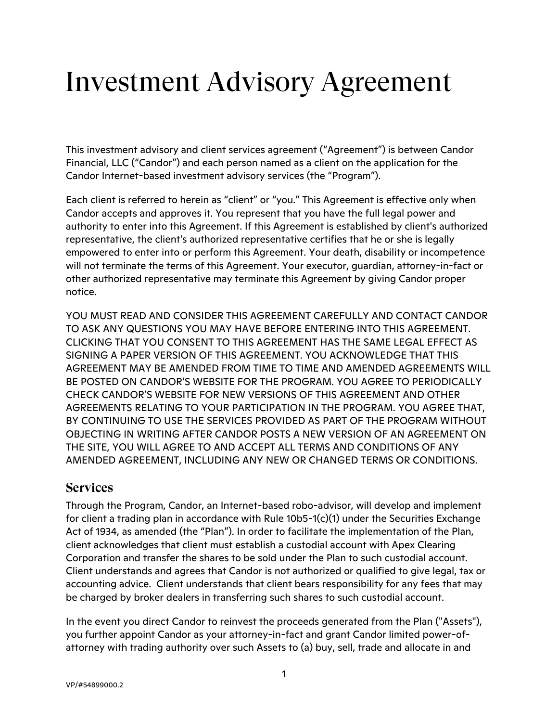# Investment Advisory Agreement

This investment advisory and client services agreement ("Agreement") is between Candor Financial, LLC ("Candor") and each person named as a client on the application for the Candor Internet-based investment advisory services (the "Program").

Each client is referred to herein as "client" or "you." This Agreement is effective only when Candor accepts and approves it. You represent that you have the full legal power and authority to enter into this Agreement. If this Agreement is established by client's authorized representative, the client's authorized representative certifies that he or she is legally empowered to enter into or perform this Agreement. Your death, disability or incompetence will not terminate the terms of this Agreement. Your executor, guardian, attorney-in-fact or other authorized representative may terminate this Agreement by giving Candor proper notice.

YOU MUST READ AND CONSIDER THIS AGREEMENT CAREFULLY AND CONTACT CANDOR TO ASK ANY QUESTIONS YOU MAY HAVE BEFORE ENTERING INTO THIS AGREEMENT. CLICKING THAT YOU CONSENT TO THIS AGREEMENT HAS THE SAME LEGAL EFFECT AS SIGNING A PAPER VERSION OF THIS AGREEMENT. YOU ACKNOWLEDGE THAT THIS AGREEMENT MAY BE AMENDED FROM TIME TO TIME AND AMENDED AGREEMENTS WILL BE POSTED ON CANDOR'S WEBSITE FOR THE PROGRAM. YOU AGREE TO PERIODICALLY CHECK CANDOR'S WEBSITE FOR NEW VERSIONS OF THIS AGREEMENT AND OTHER AGREEMENTS RELATING TO YOUR PARTICIPATION IN THE PROGRAM. YOU AGREE THAT, BY CONTINUING TO USE THE SERVICES PROVIDED AS PART OF THE PROGRAM WITHOUT OBJECTING IN WRITING AFTER CANDOR POSTS A NEW VERSION OF AN AGREEMENT ON THE SITE, YOU WILL AGREE TO AND ACCEPT ALL TERMS AND CONDITIONS OF ANY AMENDED AGREEMENT, INCLUDING ANY NEW OR CHANGED TERMS OR CONDITIONS.

#### **Services**

Through the Program, Candor, an Internet-based robo-advisor, will develop and implement for client a trading plan in accordance with Rule 10b5-1(c)(1) under the Securities Exchange Act of 1934, as amended (the "Plan"). In order to facilitate the implementation of the Plan, client acknowledges that client must establish a custodial account with Apex Clearing Corporation and transfer the shares to be sold under the Plan to such custodial account. Client understands and agrees that Candor is not authorized or qualified to give legal, tax or accounting advice. Client understands that client bears responsibility for any fees that may be charged by broker dealers in transferring such shares to such custodial account.

In the event you direct Candor to reinvest the proceeds generated from the Plan ("Assets"), you further appoint Candor as your attorney-in-fact and grant Candor limited power-ofattorney with trading authority over such Assets to (a) buy, sell, trade and allocate in and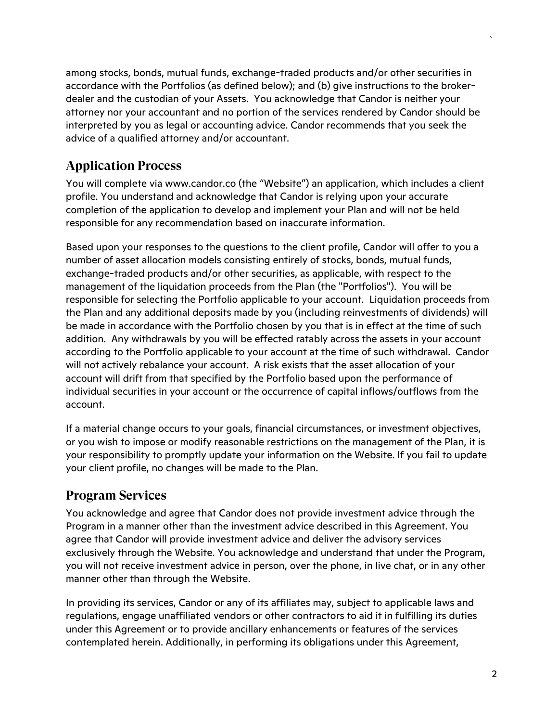among stocks, bonds, mutual funds, exchange-traded products and/or other securities in accordance with the Portfolios (as defined below); and (b) give instructions to the brokerdealer and the custodian of your Assets. You acknowledge that Candor is neither your attorney nor your accountant and no portion of the services rendered by Candor should be interpreted by you as legal or accounting advice. Candor recommends that you seek the advice of a qualified attorney and/or accountant.

# **Application Process**

You will complete via www.candor.co (the "Website") an application, which includes a client profile. You understand and acknowledge that Candor is relying upon your accurate completion of the application to develop and implement your Plan and will not be held responsible for any recommendation based on inaccurate information.

Based upon your responses to the questions to the client profile, Candor will offer to you a number of asset allocation models consisting entirely of stocks, bonds, mutual funds, exchange-traded products and/or other securities, as applicable, with respect to the management of the liquidation proceeds from the Plan (the "Portfolios"). You will be responsible for selecting the Portfolio applicable to your account. Liquidation proceeds from the Plan and any additional deposits made by you (including reinvestments of dividends) will be made in accordance with the Portfolio chosen by you that is in effect at the time of such addition. Any withdrawals by you will be effected ratably across the assets in your account according to the Portfolio applicable to your account at the time of such withdrawal. Candor will not actively rebalance your account. A risk exists that the asset allocation of your account will drift from that specified by the Portfolio based upon the performance of individual securities in your account or the occurrence of capital inflows/outflows from the account.

If a material change occurs to your goals, financial circumstances, or investment objectives, or you wish to impose or modify reasonable restrictions on the management of the Plan, it is your responsibility to promptly update your information on the Website. If you fail to update your client profile, no changes will be made to the Plan.

## **Program Services**

You acknowledge and agree that Candor does not provide investment advice through the Program in a manner other than the investment advice described in this Agreement. You agree that Candor will provide investment advice and deliver the advisory services exclusively through the Website. You acknowledge and understand that under the Program, you will not receive investment advice in person, over the phone, in live chat, or in any other manner other than through the Website.

In providing its services, Candor or any of its affiliates may, subject to applicable laws and regulations, engage unaffiliated vendors or other contractors to aid it in fulfilling its duties under this Agreement or to provide ancillary enhancements or features of the services contemplated herein. Additionally, in performing its obligations under this Agreement,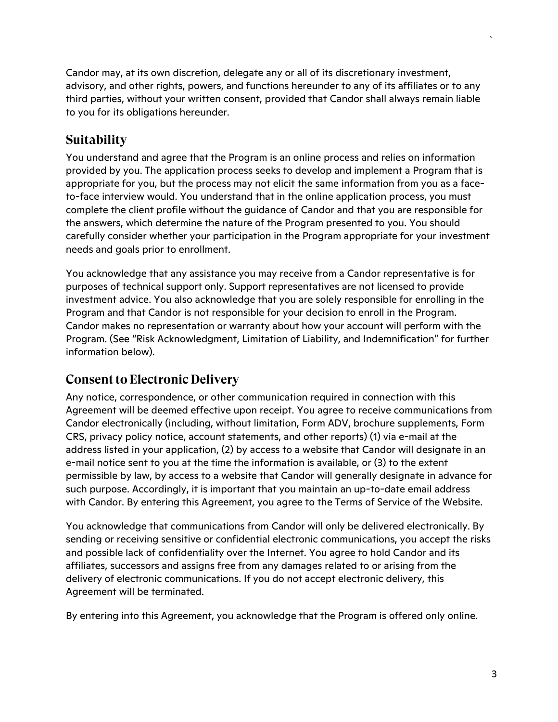Candor may, at its own discretion, delegate any or all of its discretionary investment, advisory, and other rights, powers, and functions hereunder to any of its affiliates or to any third parties, without your written consent, provided that Candor shall always remain liable to you for its obligations hereunder.

# **Suitability**

You understand and agree that the Program is an online process and relies on information provided by you. The application process seeks to develop and implement a Program that is appropriate for you, but the process may not elicit the same information from you as a faceto-face interview would. You understand that in the online application process, you must complete the client profile without the guidance of Candor and that you are responsible for the answers, which determine the nature of the Program presented to you. You should carefully consider whether your participation in the Program appropriate for your investment needs and goals prior to enrollment.

You acknowledge that any assistance you may receive from a Candor representative is for purposes of technical support only. Support representatives are not licensed to provide investment advice. You also acknowledge that you are solely responsible for enrolling in the Program and that Candor is not responsible for your decision to enroll in the Program. Candor makes no representation or warranty about how your account will perform with the Program. (See "Risk Acknowledgment, Limitation of Liability, and Indemnification" for further information below).

## **Consent to Electronic Delivery**

Any notice, correspondence, or other communication required in connection with this Agreement will be deemed effective upon receipt. You agree to receive communications from Candor electronically (including, without limitation, Form ADV, brochure supplements, Form CRS, privacy policy notice, account statements, and other reports) (1) via e-mail at the address listed in your application, (2) by access to a website that Candor will designate in an e-mail notice sent to you at the time the information is available, or (3) to the extent permissible by law, by access to a website that Candor will generally designate in advance for such purpose. Accordingly, it is important that you maintain an up-to-date email address with Candor. By entering this Agreement, you agree to the Terms of Service of the Website.

You acknowledge that communications from Candor will only be delivered electronically. By sending or receiving sensitive or confidential electronic communications, you accept the risks and possible lack of confidentiality over the Internet. You agree to hold Candor and its affiliates, successors and assigns free from any damages related to or arising from the delivery of electronic communications. If you do not accept electronic delivery, this Agreement will be terminated.

By entering into this Agreement, you acknowledge that the Program is offered only online.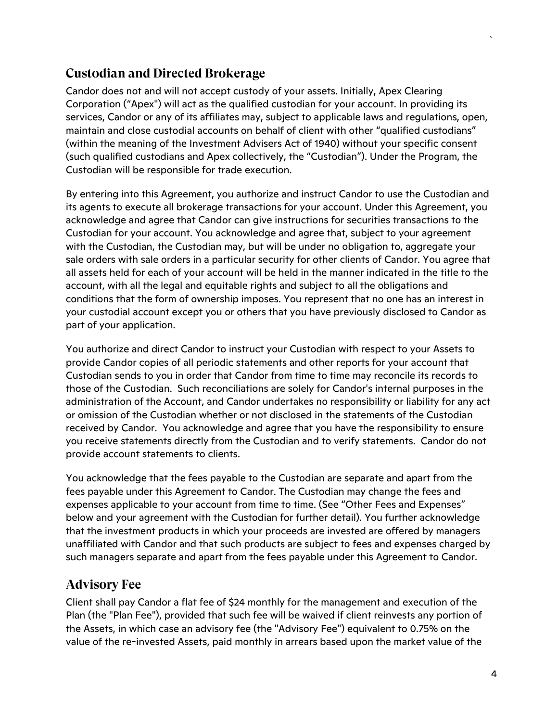# **Custodian and Directed Brokerage**

Candor does not and will not accept custody of your assets. Initially, Apex Clearing Corporation ("Apex") will act as the qualified custodian for your account. In providing its services, Candor or any of its affiliates may, subject to applicable laws and regulations, open, maintain and close custodial accounts on behalf of client with other "qualified custodians" (within the meaning of the Investment Advisers Act of 1940) without your specific consent (such qualified custodians and Apex collectively, the "Custodian"). Under the Program, the Custodian will be responsible for trade execution.

By entering into this Agreement, you authorize and instruct Candor to use the Custodian and its agents to execute all brokerage transactions for your account. Under this Agreement, you acknowledge and agree that Candor can give instructions for securities transactions to the Custodian for your account. You acknowledge and agree that, subject to your agreement with the Custodian, the Custodian may, but will be under no obligation to, aggregate your sale orders with sale orders in a particular security for other clients of Candor. You agree that all assets held for each of your account will be held in the manner indicated in the title to the account, with all the legal and equitable rights and subject to all the obligations and conditions that the form of ownership imposes. You represent that no one has an interest in your custodial account except you or others that you have previously disclosed to Candor as part of your application.

You authorize and direct Candor to instruct your Custodian with respect to your Assets to provide Candor copies of all periodic statements and other reports for your account that Custodian sends to you in order that Candor from time to time may reconcile its records to those of the Custodian. Such reconciliations are solely for Candor's internal purposes in the administration of the Account, and Candor undertakes no responsibility or liability for any act or omission of the Custodian whether or not disclosed in the statements of the Custodian received by Candor. You acknowledge and agree that you have the responsibility to ensure you receive statements directly from the Custodian and to verify statements. Candor do not provide account statements to clients.

You acknowledge that the fees payable to the Custodian are separate and apart from the fees payable under this Agreement to Candor. The Custodian may change the fees and expenses applicable to your account from time to time. (See "Other Fees and Expenses" below and your agreement with the Custodian for further detail). You further acknowledge that the investment products in which your proceeds are invested are offered by managers unaffiliated with Candor and that such products are subject to fees and expenses charged by such managers separate and apart from the fees payable under this Agreement to Candor.

## **Advisory Fee**

Client shall pay Candor a flat fee of \$24 monthly for the management and execution of the Plan (the "Plan Fee"), provided that such fee will be waived if client reinvests any portion of the Assets, in which case an advisory fee (the "Advisory Fee") equivalent to 0.75% on the value of the re-invested Assets, paid monthly in arrears based upon the market value of the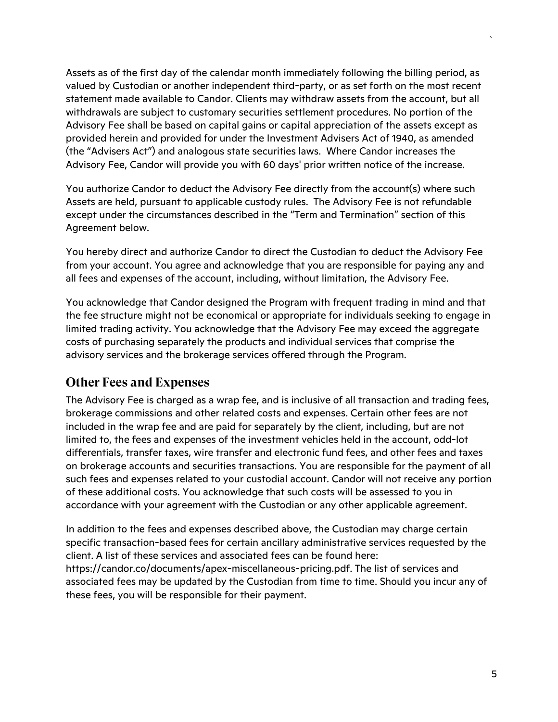Assets as of the first day of the calendar month immediately following the billing period, as valued by Custodian or another independent third-party, or as set forth on the most recent statement made available to Candor. Clients may withdraw assets from the account, but all withdrawals are subject to customary securities settlement procedures. No portion of the Advisory Fee shall be based on capital gains or capital appreciation of the assets except as provided herein and provided for under the Investment Advisers Act of 1940, as amended (the "Advisers Act") and analogous state securities laws. Where Candor increases the Advisory Fee, Candor will provide you with 60 days' prior written notice of the increase.

You authorize Candor to deduct the Advisory Fee directly from the account(s) where such Assets are held, pursuant to applicable custody rules. The Advisory Fee is not refundable except under the circumstances described in the "Term and Termination" section of this Agreement below.

You hereby direct and authorize Candor to direct the Custodian to deduct the Advisory Fee from your account. You agree and acknowledge that you are responsible for paying any and all fees and expenses of the account, including, without limitation, the Advisory Fee.

You acknowledge that Candor designed the Program with frequent trading in mind and that the fee structure might not be economical or appropriate for individuals seeking to engage in limited trading activity. You acknowledge that the Advisory Fee may exceed the aggregate costs of purchasing separately the products and individual services that comprise the advisory services and the brokerage services offered through the Program.

#### **Other Fees and Expenses**

The Advisory Fee is charged as a wrap fee, and is inclusive of all transaction and trading fees, brokerage commissions and other related costs and expenses. Certain other fees are not included in the wrap fee and are paid for separately by the client, including, but are not limited to, the fees and expenses of the investment vehicles held in the account, odd-lot differentials, transfer taxes, wire transfer and electronic fund fees, and other fees and taxes on brokerage accounts and securities transactions. You are responsible for the payment of all such fees and expenses related to your custodial account. Candor will not receive any portion of these additional costs. You acknowledge that such costs will be assessed to you in accordance with your agreement with the Custodian or any other applicable agreement.

In addition to the fees and expenses described above, the Custodian may charge certain specific transaction-based fees for certain ancillary administrative services requested by the client. A list of these services and associated fees can be found here: https://candor.co/documents/apex-miscellaneous-pricing.pdf. The list of services and associated fees may be updated by the Custodian from time to time. Should you incur any of these fees, you will be responsible for their payment.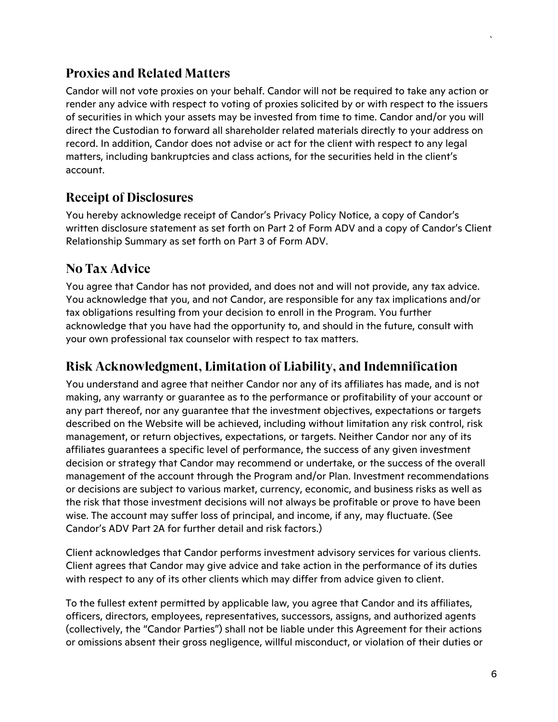#### **Proxies and Related Matters**

Candor will not vote proxies on your behalf. Candor will not be required to take any action or render any advice with respect to voting of proxies solicited by or with respect to the issuers of securities in which your assets may be invested from time to time. Candor and/or you will direct the Custodian to forward all shareholder related materials directly to your address on record. In addition, Candor does not advise or act for the client with respect to any legal matters, including bankruptcies and class actions, for the securities held in the client's account.

#### **Receipt of Disclosures**

You hereby acknowledge receipt of Candor's Privacy Policy Notice, a copy of Candor's written disclosure statement as set forth on Part 2 of Form ADV and a copy of Candor's Client Relationship Summary as set forth on Part 3 of Form ADV.

#### **No Tax Advice**

You agree that Candor has not provided, and does not and will not provide, any tax advice. You acknowledge that you, and not Candor, are responsible for any tax implications and/or tax obligations resulting from your decision to enroll in the Program. You further acknowledge that you have had the opportunity to, and should in the future, consult with your own professional tax counselor with respect to tax matters.

#### **Risk Acknowledgment, Limitation of Liability, and Indemnification**

You understand and agree that neither Candor nor any of its affiliates has made, and is not making, any warranty or guarantee as to the performance or profitability of your account or any part thereof, nor any guarantee that the investment objectives, expectations or targets described on the Website will be achieved, including without limitation any risk control, risk management, or return objectives, expectations, or targets. Neither Candor nor any of its affiliates guarantees a specific level of performance, the success of any given investment decision or strategy that Candor may recommend or undertake, or the success of the overall management of the account through the Program and/or Plan. Investment recommendations or decisions are subject to various market, currency, economic, and business risks as well as the risk that those investment decisions will not always be profitable or prove to have been wise. The account may suffer loss of principal, and income, if any, may fluctuate. (See Candor's ADV Part 2A for further detail and risk factors.)

Client acknowledges that Candor performs investment advisory services for various clients. Client agrees that Candor may give advice and take action in the performance of its duties with respect to any of its other clients which may differ from advice given to client.

To the fullest extent permitted by applicable law, you agree that Candor and its affiliates, officers, directors, employees, representatives, successors, assigns, and authorized agents (collectively, the "Candor Parties") shall not be liable under this Agreement for their actions or omissions absent their gross negligence, willful misconduct, or violation of their duties or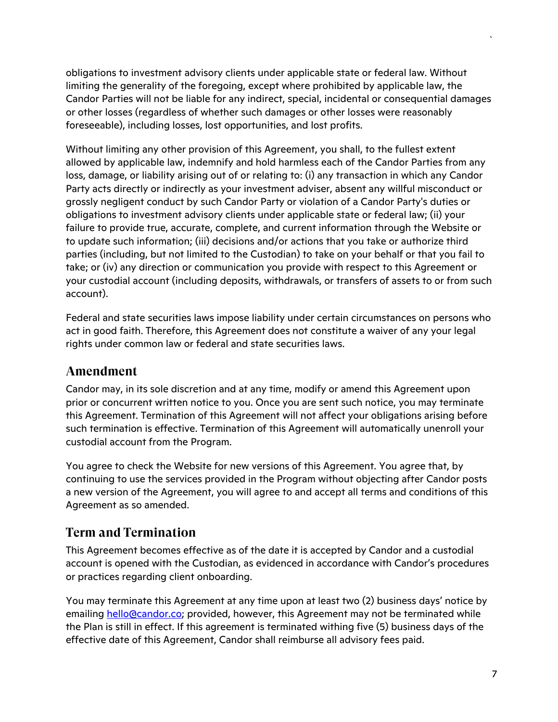obligations to investment advisory clients under applicable state or federal law. Without limiting the generality of the foregoing, except where prohibited by applicable law, the Candor Parties will not be liable for any indirect, special, incidental or consequential damages or other losses (regardless of whether such damages or other losses were reasonably foreseeable), including losses, lost opportunities, and lost profits.

Without limiting any other provision of this Agreement, you shall, to the fullest extent allowed by applicable law, indemnify and hold harmless each of the Candor Parties from any loss, damage, or liability arising out of or relating to: (i) any transaction in which any Candor Party acts directly or indirectly as your investment adviser, absent any willful misconduct or grossly negligent conduct by such Candor Party or violation of a Candor Party's duties or obligations to investment advisory clients under applicable state or federal law; (ii) your failure to provide true, accurate, complete, and current information through the Website or to update such information; (iii) decisions and/or actions that you take or authorize third parties (including, but not limited to the Custodian) to take on your behalf or that you fail to take; or (iv) any direction or communication you provide with respect to this Agreement or your custodial account (including deposits, withdrawals, or transfers of assets to or from such account).

Federal and state securities laws impose liability under certain circumstances on persons who act in good faith. Therefore, this Agreement does not constitute a waiver of any your legal rights under common law or federal and state securities laws.

#### **Amendment**

Candor may, in its sole discretion and at any time, modify or amend this Agreement upon prior or concurrent written notice to you. Once you are sent such notice, you may terminate this Agreement. Termination of this Agreement will not affect your obligations arising before such termination is effective. Termination of this Agreement will automatically unenroll your custodial account from the Program.

You agree to check the Website for new versions of this Agreement. You agree that, by continuing to use the services provided in the Program without objecting after Candor posts a new version of the Agreement, you will agree to and accept all terms and conditions of this Agreement as so amended.

# **Term and Termination**

This Agreement becomes effective as of the date it is accepted by Candor and a custodial account is opened with the Custodian, as evidenced in accordance with Candor's procedures or practices regarding client onboarding.

You may terminate this Agreement at any time upon at least two (2) business days' notice by emailing hello@candor.co; provided, however, this Agreement may not be terminated while the Plan is still in effect. If this agreement is terminated withing five (5) business days of the effective date of this Agreement, Candor shall reimburse all advisory fees paid.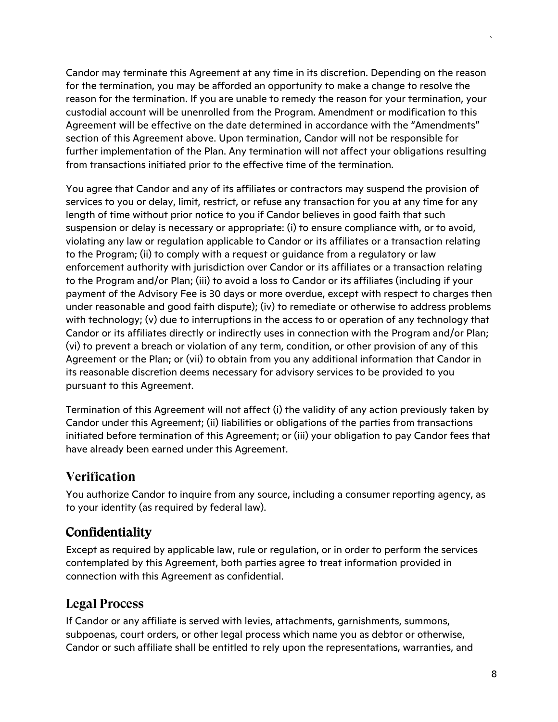Candor may terminate this Agreement at any time in its discretion. Depending on the reason for the termination, you may be afforded an opportunity to make a change to resolve the reason for the termination. If you are unable to remedy the reason for your termination, your custodial account will be unenrolled from the Program. Amendment or modification to this Agreement will be effective on the date determined in accordance with the "Amendments" section of this Agreement above. Upon termination, Candor will not be responsible for further implementation of the Plan. Any termination will not affect your obligations resulting from transactions initiated prior to the effective time of the termination.

You agree that Candor and any of its affiliates or contractors may suspend the provision of services to you or delay, limit, restrict, or refuse any transaction for you at any time for any length of time without prior notice to you if Candor believes in good faith that such suspension or delay is necessary or appropriate: (i) to ensure compliance with, or to avoid, violating any law or regulation applicable to Candor or its affiliates or a transaction relating to the Program; (ii) to comply with a request or guidance from a regulatory or law enforcement authority with jurisdiction over Candor or its affiliates or a transaction relating to the Program and/or Plan; (iii) to avoid a loss to Candor or its affiliates (including if your payment of the Advisory Fee is 30 days or more overdue, except with respect to charges then under reasonable and good faith dispute); (iv) to remediate or otherwise to address problems with technology; (v) due to interruptions in the access to or operation of any technology that Candor or its affiliates directly or indirectly uses in connection with the Program and/or Plan; (vi) to prevent a breach or violation of any term, condition, or other provision of any of this Agreement or the Plan; or (vii) to obtain from you any additional information that Candor in its reasonable discretion deems necessary for advisory services to be provided to you pursuant to this Agreement.

Termination of this Agreement will not affect (i) the validity of any action previously taken by Candor under this Agreement; (ii) liabilities or obligations of the parties from transactions initiated before termination of this Agreement; or (iii) your obligation to pay Candor fees that have already been earned under this Agreement.

## **Verification**

You authorize Candor to inquire from any source, including a consumer reporting agency, as to your identity (as required by federal law).

## Confidentiality

Except as required by applicable law, rule or regulation, or in order to perform the services contemplated by this Agreement, both parties agree to treat information provided in connection with this Agreement as confidential.

#### **Legal Process**

If Candor or any affiliate is served with levies, attachments, garnishments, summons, subpoenas, court orders, or other legal process which name you as debtor or otherwise, Candor or such affiliate shall be entitled to rely upon the representations, warranties, and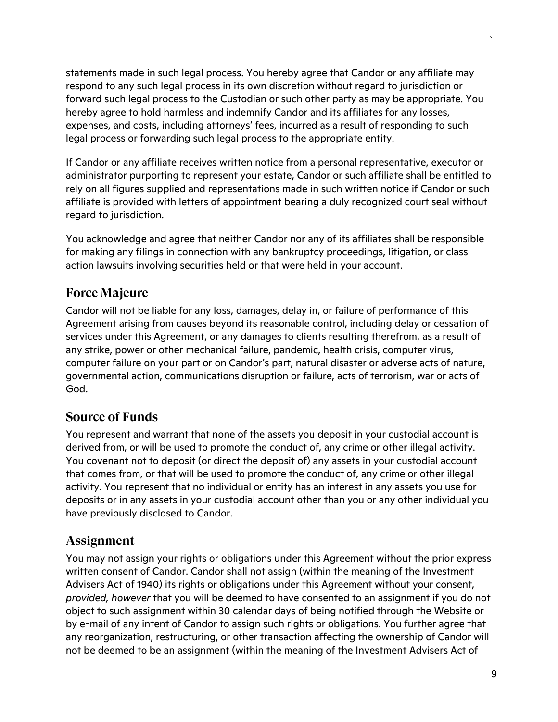statements made in such legal process. You hereby agree that Candor or any affiliate may respond to any such legal process in its own discretion without regard to jurisdiction or forward such legal process to the Custodian or such other party as may be appropriate. You hereby agree to hold harmless and indemnify Candor and its affiliates for any losses, expenses, and costs, including attorneys' fees, incurred as a result of responding to such legal process or forwarding such legal process to the appropriate entity.

If Candor or any affiliate receives written notice from a personal representative, executor or administrator purporting to represent your estate, Candor or such affiliate shall be entitled to rely on all figures supplied and representations made in such written notice if Candor or such affiliate is provided with letters of appointment bearing a duly recognized court seal without regard to jurisdiction.

You acknowledge and agree that neither Candor nor any of its affiliates shall be responsible for making any filings in connection with any bankruptcy proceedings, litigation, or class action lawsuits involving securities held or that were held in your account.

# **Force Majeure**

Candor will not be liable for any loss, damages, delay in, or failure of performance of this Agreement arising from causes beyond its reasonable control, including delay or cessation of services under this Agreement, or any damages to clients resulting therefrom, as a result of any strike, power or other mechanical failure, pandemic, health crisis, computer virus, computer failure on your part or on Candor's part, natural disaster or adverse acts of nature, governmental action, communications disruption or failure, acts of terrorism, war or acts of God.

## **Source of Funds**

You represent and warrant that none of the assets you deposit in your custodial account is derived from, or will be used to promote the conduct of, any crime or other illegal activity. You covenant not to deposit (or direct the deposit of) any assets in your custodial account that comes from, or that will be used to promote the conduct of, any crime or other illegal activity. You represent that no individual or entity has an interest in any assets you use for deposits or in any assets in your custodial account other than you or any other individual you have previously disclosed to Candor.

## **Assignment**

You may not assign your rights or obligations under this Agreement without the prior express written consent of Candor. Candor shall not assign (within the meaning of the Investment Advisers Act of 1940) its rights or obligations under this Agreement without your consent, *provided, however* that you will be deemed to have consented to an assignment if you do not object to such assignment within 30 calendar days of being notified through the Website or by e-mail of any intent of Candor to assign such rights or obligations. You further agree that any reorganization, restructuring, or other transaction affecting the ownership of Candor will not be deemed to be an assignment (within the meaning of the Investment Advisers Act of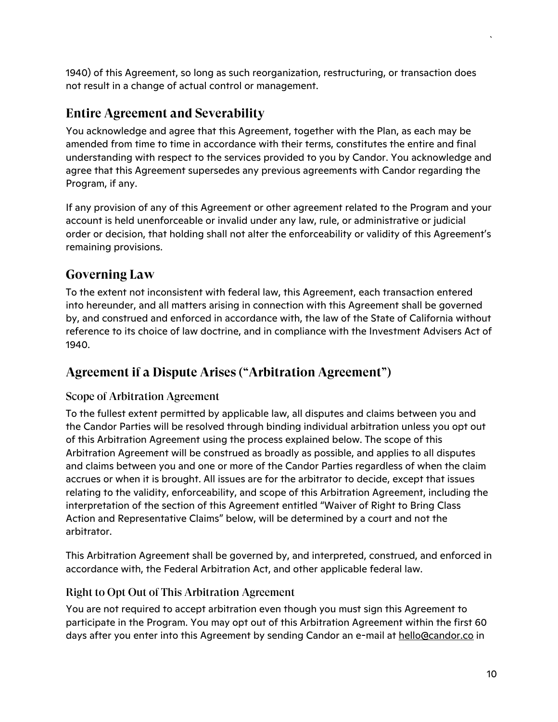1940) of this Agreement, so long as such reorganization, restructuring, or transaction does not result in a change of actual control or management.

#### **Entire Agreement and Severability**

You acknowledge and agree that this Agreement, together with the Plan, as each may be amended from time to time in accordance with their terms, constitutes the entire and final understanding with respect to the services provided to you by Candor. You acknowledge and agree that this Agreement supersedes any previous agreements with Candor regarding the Program, if any.

If any provision of any of this Agreement or other agreement related to the Program and your account is held unenforceable or invalid under any law, rule, or administrative or judicial order or decision, that holding shall not alter the enforceability or validity of this Agreement's remaining provisions.

# **Governing Law**

To the extent not inconsistent with federal law, this Agreement, each transaction entered into hereunder, and all matters arising in connection with this Agreement shall be governed by, and construed and enforced in accordance with, the law of the State of California without reference to its choice of law doctrine, and in compliance with the Investment Advisers Act of 1940.

## **Agreement if a Dispute Arises ("Arbitration Agreement")**

#### Scope of Arbitration Agreement

To the fullest extent permitted by applicable law, all disputes and claims between you and the Candor Parties will be resolved through binding individual arbitration unless you opt out of this Arbitration Agreement using the process explained below. The scope of this Arbitration Agreement will be construed as broadly as possible, and applies to all disputes and claims between you and one or more of the Candor Parties regardless of when the claim accrues or when it is brought. All issues are for the arbitrator to decide, except that issues relating to the validity, enforceability, and scope of this Arbitration Agreement, including the interpretation of the section of this Agreement entitled "Waiver of Right to Bring Class Action and Representative Claims" below, will be determined by a court and not the arbitrator.

This Arbitration Agreement shall be governed by, and interpreted, construed, and enforced in accordance with, the Federal Arbitration Act, and other applicable federal law.

#### Right to Opt Out of This Arbitration Agreement

You are not required to accept arbitration even though you must sign this Agreement to participate in the Program. You may opt out of this Arbitration Agreement within the first 60 days after you enter into this Agreement by sending Candor an e-mail at hello@candor.co in